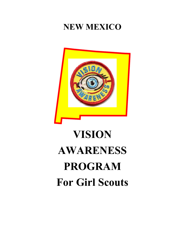# **NEW MEXICO**



# **VISION AWARENESS PROGRAM For Girl Scouts**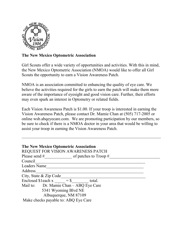

## **The New Mexico Optometric Association**

Girl Scouts offer a wide variety of opportunities and activities. With this in mind, the New Mexico Optometric Association (NMOA) would like to offer all Girl Scouts the opportunity to earn a Vision Awareness Patch.

NMOA is an association committed to enhancing the quality of eye care. We believe the activities required for the girls to earn the patch will make them more aware of the importance of eyesight and good vision care. Further, their efforts may even spark an interest in Optometry or related fields.

Each Vision Awareness Patch is \$1.00. If your troop is interested in earning the Vision Awareness Patch, please contact Dr. Mamie Chan at (505) 717-2005 or online wsb.abqeyecare.com. We are promoting participation by our members, so be sure to check if there is a NMOA doctor in your area that would be willing to assist your troop in earning the Vision Awareness Patch.

-----------------------------------------------------------------------------------------------------------------------------------------

|               | <b>The New Mexico Optometric Association</b> |        |  |
|---------------|----------------------------------------------|--------|--|
|               | REQUEST FOR VISION AWARENESS PATCH           |        |  |
| Please send # | of patches to Troop $#$                      |        |  |
| Council       |                                              |        |  |
| Leaders Name  |                                              |        |  |
| Address       |                                              |        |  |
|               | City, State & Zip Code                       |        |  |
|               | Enclosed \$1each $x =$ \$                    | total. |  |
|               | Mail to: Dr. Mamie Chan - ABQ Eye Care       |        |  |
|               | 5341 Wyoming Blvd NE                         |        |  |
|               | Albuquerque, NM 87109                        |        |  |
|               | Make checks payable to: ABQ Eye Care         |        |  |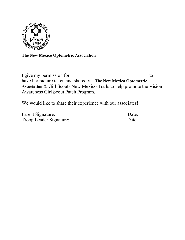

**The New Mexico Optometric Association** 

I give my permission for to have her picture taken and shared via **The New Mexico Optometric Association** & Girl Scouts New Mexico Trails to help promote the Vision Awareness Girl Scout Patch Program.

We would like to share their experience with our associates!

| Parent Signature:       | Date: |
|-------------------------|-------|
| Troop Leader Signature: | Date: |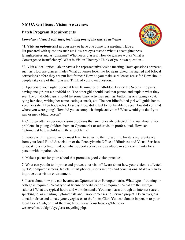## **NMOA Girl Scout Vision Awareness**

## **Patch Program Requirements**

#### *Complete at least 2 activities, including one of the starred activities*



**\*1. Visit an optometrist** in your area or have one come to a meeting. Have a list prepared with questions such as: How are eyes tested? What is nearsightedness, farsightedness and astigmatism? Who needs glasses? How do glasses work? What is Convergence Insufficiency? What is Vision Therapy? Think of your own question...

\*2. Visit a local optical lab or have a lab representative visit a meeting. Have questions prepared, such as: How are glasses made? What do lenses look like for nearsighted, farsighted and bifocal corrections before they are put into frames? How do you make sure lenses are safe? How should people take care of their glasses? Think of your own question...

3. Appreciate your sight. Spend at least 10 minutes blindfolded. Divide the Scouts into pairs, having one girl put a blindfold on. The other girl should lead that person and explain what they see. The blindfolded girl should try some basic activities such as: buttoning or zipping a coat, tying her shoe, writing her name, eating a snack, etc. The non-blindfolded girl will guide her to keep her safe. Then trade roles. Discuss: How did it feel to not be able to see? How did you find where you were going? How did you accomplish simple activities? What would you do if you saw or met a blind person?

4. Children often experience vision problems that are not easily detected. Find out about vision problems in young children from an Optometrist or other vision professional. How can Optometrist help a child with these problems?

5. People with impaired vision must learn to adjust to their disability. Invite a representative from your local Blind Association or the Pennsylvania Office of Blindness and Visual Services to speak to a meeting. Find out what support services are available in your community for a person with impaired vision.

6. Make a poster for your school that promotes good vision practices.

7. What can you do to improve and protect your vision? Learn about how your vision is affected by TV, computer screens, tablets, smart phones, sports injuries and concussions. Make a plan to improve your vision environment.

8. Learn about how you can become an Optometrist or Paraoptometric. What type of training or college is required? What type of license or certification is required? What are the average salaries? What are typical hours and work demands/ You may learn through an internet search, speaking to, or emailing Optometrists and Paraoptometrics. 9. Service project: Do an eyeglass donation drive and donate your eyeglasses to the Lions Club. You can donate in person to your local Lions Club, or mail them in; http://www.lionsclubs.org/EN/howweserve/health/sight/eyeglass-recycling.php.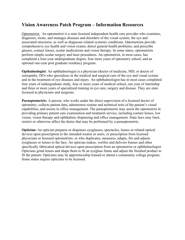## **Vision Awareness Patch Program – Information Resources**

Optometrist: An optometrist is a state licensed independent health care provider who examines, diagnoses, treats, and manages diseases and disorders of the visual system, the eye and associated structures, as well as diagnoses related systemic conditions. Optometrists provide comprehensive eye health and vision exams; detect general health problems; and prescribe glasses, contact lenses, ocular medications and vision therapy. In some states, optometrists perform simple ocular surgery and laser procedures. An optometrist, in most cases, has completed a four-year undergraduate degree, four more years of optometry school, and an optional one-year post graduate residency program.

**Opthalmologist**: An ophthalmologist is a physician (doctor of medicine, MD, or doctor of osteopathy, DO) who specializes in the medical and surgical care of the eye and visual system and in the treatment of eye diseases and injury. An ophthalmologist has in most cases completed four years of undergraduate study, four or more years of medical school, one year of internship and three or more years of specialized training in eye care, surgery and disease. They are state licensed as physicians and surgeons.

**Paraoptometric:** A person, who works under the direct supervision of a licensed doctor of optometry, collects patient data, administers routine and technical tests of the patient's visual capabilities, and assists in office management. The paraoptometric may assist the optometrist in providing primary patient care examination and treatment service, including contact lenses, low vision, vision therapy and ophthalmic dispensing and office management. State laws may limit, restrict or otherwise affect the duties that may be performed by a paraoptometric.

**Optician:** An optician prepares or dispenses eyeglasses, spectacles, lenses or related optical devices upon prescription to the intended wearer or users, or prescription from licensed physicians or licensed optometrists; or who duplicates, measures, adapts, fits and adjusts eyeglasses or lenses to the face. An optician makes, verifies and delivers frames and other specifically fabricated optical devices upon prescription from an optometrist or ophthalmologist. Opticians grind lenses and shape them to fit an eyeglass frame and adjust the finished product to fit the patient. Opticians may be apprenticeship trained or attend a community college program. Some states require opticians to be licensed.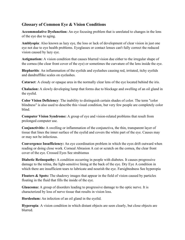### **Glossary of Common Eye & Vision Conditions**

**Accommodative Dysfunction:** An eye focusing problem that is unrelated to changes in the lens of the eye due to aging.

**Amblyopia**: Also known as lazy eye, the loss or lack of development of clear vision in just one eye not due to eye health problems. Eyeglasses or contact lenses can't fully correct the reduced vision caused by lazy eye.

**Astigmatism:** A vision condition that causes blurred vision due either to the irregular shape of the cornea (the clear front cover of the eye) or sometimes the curvature of the lens inside the eye.

**Blepharitis**: An inflammation of the eyelids and eyelashes causing red, irritated, itchy eyelids and dandrufflike scales on eyelashes.

**Cataract**: A cloudy or opaque area in the normally clear lens of the eye located behind the iris.

**Chalazion:** A slowly developing lump that forms due to blockage and swelling of an oil gland in the eyelid.

**Color Vision Deficiency**: The inability to distinguish certain shades of color. The term "color blindness" is also used to describe this visual condition, but very few people are completely color blind.

**Computer Vision Syndrome:** A group of eye and vision-related problems that result from prolonged computer use.

**Conjunctivitis:** A swelling or inflammation of the conjunctiva, the thin, transparent layer of tissue that lines the inner surface of the eyelid and covers the white part of the eye. Causes may or may not be infectious.

**Convergence Insufficiency:** An eye coordination problem in which the eyes drift outward when reading or doing close work. Corneal Abrasion A cut or scratch on the cornea, the clear front cover of the eye. Crossed Eyes See strabismus

**Diabetic Retinopathy:** A condition occurring in people with diabetes. It causes progressive damage to the retina, the light-sensitive lining at the back of the eye. Dry Eye A condition in which there are insufficient tears to lubricate and nourish the eye. Farsightedness See hyperopia

**Floaters & Spots:** The shadowy images that appear in the field of vision caused by particles floating in the fluid that fills the inside of the eye.

**Glaucoma:** A group of disorders leading to progressive damage to the optic nerve. It is characterized by loss of nerve tissue that results in vision loss.

**Hordeolum:** An infection of an oil gland in the eyelid.

**Hyperopia**: A vision condition in which distant objects are seen clearly, but close objects are blurred.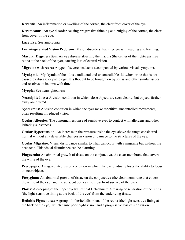**Keratitis:** An inflammation or swelling of the cornea, the clear front cover of the eye.

**Keratoconus:** An eye disorder causing progressive thinning and bulging of the cornea, the clear front cover of the eye.

**Lazy Eye:** See amblyopia

**Learning-related Vision Problems:** Vision disorders that interfere with reading and learning.

**Macular Degeneration:** An eye disease affecting the macula (the center of the light-sensitive retina at the back of the eye), causing loss of central vision.

**Migraine with Aura:** A type of severe headache accompanied by various visual symptoms.

**Myokymia:** Myokymia of the lid is a unilateral and uncontrollable lid twitch or tic that is not caused by disease or pathology. It is thought to be brought on by stress and other similar issues and resolves on its own with time.

**Myopia:** See nearsightedness

**Nearsightedness:** A vision condition in which close objects are seen clearly, but objects farther away are blurred.

**Nystagmus:** A vision condition in which the eyes make repetitive, uncontrolled movements, often resulting in reduced vision.

**Ocular Allergies:** The abnormal response of sensitive eyes to contact with allergens and other irritating substances.

**Ocular Hypertension**: An increase in the pressure inside the eye above the range considered normal without any detectable changes in vision or damage to the structures of the eye.

**Ocular Migraine:** Visual disturbance similar to what can occur with a migraine but without the headache. This visual disturbance can be alarming.

**Pinguecula:** An abnormal growth of tissue on the conjunctiva, the clear membrane that covers the white of the eye.

**Presbyopia:** An age-related vision condition in which the eye gradually loses the ability to focus on near objects.

**Pterygium:** An abnormal growth of tissue on the conjunctiva (the clear membrane that covers the white of the eye) and the adjacent cornea (the clear front surface of the eye).

**Ptosis:** A drooping of the upper eyelid. Retinal Detachment A tearing or separation of the retina (the light-sensitive lining at the back of the eye) from the underlying tissue.

**Retinitis Pigmentosa:** A group of inherited disorders of the retina (the light-sensitive lining at the back of the eye), which cause poor night vision and a progressive loss of side vision.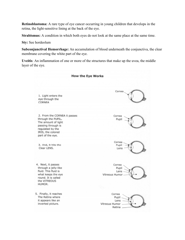**Retinoblastoma:** A rare type of eye cancer occurring in young children that develops in the retina, the light-sensitive lining at the back of the eye.

**Strabismus:** A condition in which both eyes do not look at the same place at the same time.

**Sty:** See hordeolum

**Subconjunctival Hemorrhage:** An accumulation of blood underneath the conjunctiva, the clear membrane covering the white part of the eye.

**Uveitis**: An inflammation of one or more of the structures that make up the uvea, the middle layer of the eye.

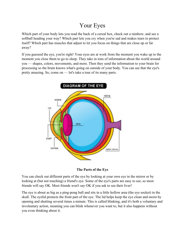# Your Eyes

Which part of your body lets you read the back of a cereal box, check out a rainbow, and see a softball heading your way? Which part lets you cry when you're sad and makes tears to protect itself? Which part has muscles that adjust to let you focus on things that are close up or far away?

If you guessed the eye, you're right! Your eyes are at work from the moment you wake up to the moment you close them to go to sleep. They take in tons of information about the world around you — shapes, colors, movements, and more. Then they send the information to your brain for processing so the brain knows what's going on outside of your body. You can see that the eye's pretty amazing. So, come on — let's take a tour of its many parts.





You can check out different parts of the eye by looking at your own eye in the mirror or by looking at (but not touching) a friend's eye. Some of the eye's parts are easy to see, so most friends will say OK. Most friends won't say OK if you ask to see their liver!

The eye is about as big as a ping-pong ball and sits in a little hollow area (the eye socket) in the skull. The eyelid protects the front part of the eye. The lid helps keep the eye clean and moist by opening and shutting several times a minute. This is called blinking, and it's both a voluntary and involuntary action, meaning you can blink whenever you want to, but it also happens without you even thinking about it.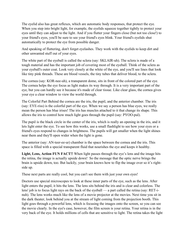The eyelid also has great reflexes, which are automatic body responses, that protect the eye. When you step into bright light, for example, the eyelids squeeze together tightly to protect your eyes until they can adjust to the light. And if you flutter your fingers close (but not too close!) to your friend's eyes, you'll be sure to see your friend's eyes blink. Your friend's eyelids shut automatically to protect the eye from possible danger.

And speaking of fluttering, don't forget eyelashes. They work with the eyelids to keep dirt and other unwanted stuff out of your eyes.

The white part of the eyeball is called the sclera (say: SKLAIR-uh). The sclera is made of a tough material and has the important job of covering most of the eyeball. Think of the sclera as your eyeball's outer coat. Look very closely at the white of the eye, and you'll see lines that look like tiny pink threads. These are blood vessels, the tiny tubes that deliver blood, to the sclera.

The cornea (say: KOR-nee-uh), a transparent dome, sits in front of the colored part of the eye. The cornea helps the eye focus as light makes its way through. It is a very important part of the eye, but you can hardly see it because it's made of clear tissue. Like clear glass, the cornea gives your eye a clear window to view the world through.

The Colorful Part Behind the cornea are the iris, the pupil, and the anterior chamber. The iris (say: EYE-riss) is the colorful part of the eye. When we say a person has blue eyes, we really mean the person has blue irises! The iris has muscles attached to it that change its shape. This allows the iris to control how much light goes through the pupil (say: PYOO-pul).

The pupil is the black circle in the center of the iris, which is really an opening in the iris, and it lets light enter the eye. To see how this works, use a small flashlight to see how your eyes or a friend's eyes respond to changes in brightness. The pupils will get smaller when the light shines near them and they'll open wider when the light is gone.

The anterior (say: AN-teer-ee-ur) chamber is the space between the cornea and the iris. This space is filled with a special transparent fluid that nourishes the eye and keeps it healthy.

**Light, Lens, Action FUN FACT!!** When light passes through the eye's lens and the image hits the retina, the image is actually upside down! So the message that the optic nerve brings the brain is upside down, too. But luckily, your brain knows how to flip the image over so it's rightside up.

These next parts are really cool, but you can't see them with just your own eyes!

Doctors use special microscopes to look at these inner parts of the eye, such as the lens. After light enters the pupil, it hits the lens. The lens sits behind the iris and is clear and colorless. The lens' job is to focus light rays on the back of the eyeball — a part called the retina (say: RET-inuh). The lens works much like the lens of a movie projector at the movies. Next time you sit in the dark theater, look behind you at the stream of light coming from the projection booth. This light goes through a powerful lens, which is focusing the images onto the screen, so you can see the movie clearly. In the eye's case, however, the film screen is your retina. Your retina is in the very back of the eye. It holds millions of cells that are sensitive to light. The retina takes the light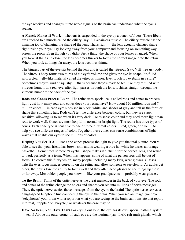the eye receives and changes it into nerve signals so the brain can understand what the eye is seeing.

**A Muscle Makes It Work** - The lens is suspended in the eye by a bunch of fibers. These fibers are attached to a muscle called the ciliary (say: SIL-eeair-ee) muscle. The ciliary muscle has the amazing job of changing the shape of the lens. That's right — the lens actually changes shape right inside your eye! Try looking away from your computer and focusing on something way across the room. Even though you didn't feel a thing, the shape of your lenses changed. When you look at things up close, the lens becomes thicker to focus the correct image onto the retina. When you look at things far away, the lens becomes thinner.

The biggest part of the eye sits behind the lens and is called the vitreous (say: VIH-tree-us) body. The vitreous body forms two thirds of the eye's volume and gives the eye its shape. It's filled with a clear, jelly-like material called the vitreous humor. Ever touch toy eyeballs in a store? Sometimes they're kind of squishy — that's because they're made to feel like they're filled with vitreous humor. In a real eye, after light passes through the lens, it shines straight through the vitreous humor to the back of the eye.

**Rods and Cones Process Light** - The retina uses special cells called rods and cones to process light. Just how many rods and cones does your retina have? How about 120 million rods and 7 million cones — in each eye! Rods see in black, white, and shades of gray and tell us the form or shape that something has. Rods can't tell the difference between colors, but they are supersensitive, allowing us to see when it's very dark. Cones sense color and they need more light than rods to work well. Cones are most helpful in normal or bright light. The retina has three types of cones. Each cone type is sensitive to one of three different colors — red, green, or blue — to help you see different ranges of color. Together, these cones can sense combinations of light waves that enable our eyes to see millions of colors.

**Helping You See It All** - Rods and cones process the light to give you the total picture. You're able to see that your friend has brown skin and is wearing a blue hat while he tosses an orange basketball. Sometimes someone's eyeball shape makes it difficult for the cornea, lens, and retina to work perfectly as a team. When this happens, some of what the person sees will be out of focus. To correct this fuzzy vision, many people, including many kids, wear glasses. Glasses help the eyes focus images correctly on the retina and allow someone to see clearly. As adults get older, their eyes lose the ability to focus well and they often need glasses to see things up close or far away. Most older people you know — like your grandparents — probably wear glasses.

**To the Brain!** Think of the optic nerve as the great messenger in the back of your eye. The rods and cones of the retina change the colors and shapes you see into millions of nerve messages. Then, the optic nerve carries those messages from the eye to the brain! The optic nerve serves as a high-speed telephone line connecting the eye to the brain. When you see an image, your eye "telephones" your brain with a report on what you are seeing so the brain can translate that report into "cat," "apple," or "bicycle," or whatever the case may be.

**Have No Fear, You Have Tears** For crying out loud, the eye has its own special bathing system — tears! Above the outer corner of each eye are the lacrimal (say: LAK-ruh-mul) glands, which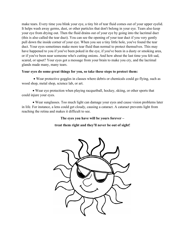make tears. Every time you blink your eye, a tiny bit of tear fluid comes out of your upper eyelid. It helps wash away germs, dust, or other particles that don't belong in your eye. Tears also keep your eye from drying out. Then the fluid drains out of your eye by going into the lacrimal duct (this is also called the tear duct). You can see the opening of your tear duct if you very gently pull down the inside corner of your eye. When you see a tiny little hole, you've found the tear duct. Your eyes sometimes make more tear fluid than normal to protect themselves. This may have happened to you if you've been poked in the eye, if you've been in a dusty or smoking area, or if you've been near someone who's cutting onions. And how about the last time you felt sad, scared, or upset? Your eyes got a message from your brain to make you cry, and the lacrimal glands made many, many tears.

#### **Your eyes do some great things for you, so take these steps to protect them:**

• Wear protective goggles in classes where debris or chemicals could go flying, such as wood shop, metal shop, science lab, or art.

• Wear eye protection when playing racquetball, hockey, skiing, or other sports that could injure your eyes.

• Wear sunglasses. Too much light can damage your eyes and cause vision problems later in life. For instance, a lens could get cloudy, causing a cataract. A cataract prevents light from reaching the retina and makes it difficult to see.

#### **The eyes you have will be yours forever –**

#### **treat them right and they'll never be out of sight!**

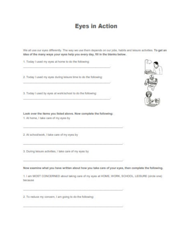# **Eyes in Action**

We all use our eyes differently. The way we use them depends on our jobs, habits and leisure activities. To get an idea of the many ways your eyes help you every day, fill in the blanks below.

1. Today I used my eyes at home to do the following:

2. Today I used my eyes during leisure time to do the following:

3. Today I used by eyes at work/school to do the following:



Look over the items you listed above. Now complete the following: 1. At home, I take care of my eyes by

2. At school/work, I take care of my eyes by

3. During leisure activities, I take care of my eyes by

Now examine what you have written about how you take care of your eyes, then complete the following.

1. I am MOST CONCERNED about taking care of my eyes at HOME, WORK, SCHOOL, LEISURE (circle one) because

2. To reduce my concern, I am going to do the following: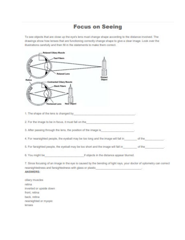# **Focus on Seeing**

To see objects that are close up the eye's lens must change shape according to the distance involved. The drawings show how lenses that are functioning correctly change shape to give a clear image. Look over the illustrations carefully and then fill in the statements to make them correct.

| Mallaxed Cilliary Mascle<br>-Taut Fibers<br><b>Released L</b>                                                              |                                                                                                                       |  |
|----------------------------------------------------------------------------------------------------------------------------|-----------------------------------------------------------------------------------------------------------------------|--|
| <b>Contracted Citiary Mescle</b><br>Slack Fibers<br>Thickened Lens<br>Nasar Otto<br>1. The shape of the lens is changed by | Object                                                                                                                |  |
| 2. For the image to be in focus, it must fall on the                                                                       |                                                                                                                       |  |
| 3. After passing through the lens, the position of the image is                                                            |                                                                                                                       |  |
|                                                                                                                            | 4. For nearsighted people, the eyeball may be too long and the image will fall in an af the                           |  |
|                                                                                                                            | 5. For farsighted people, the eyeball may be too short and the image will fall in of the                              |  |
| 6. You might be                                                                                                            | If objects in the distance appear blurred.                                                                            |  |
| nearsightedness and farsightedness with glass or plastic<br><b>ANSWERS:</b>                                                | 7. Since focusing of an image in the eye is caused by the bending of light rays, your doctor of optometry can correct |  |

ollary muscles retina inverted or upside down. front, retinal back, retina: nearsighted or myopic lenses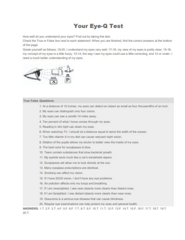# Your Eye-Q Test

How well do you understand your eyes? Find out by taking this test.

Check the True or False box next to each statement. When you are finished, find the correct answers at the bottom of the page.

Grade yourself as follows: 19-20, I understand my eyes very well; 17-18, my view of my eyes is pretty clear; 15-16, my concept of my eyes is a little fuzzy; 13-14, the way I see my eyes could use a little correcting; and 12 or under, I need a much better understanding of my eyes.



#### **True False Questions**

- 1. At a distance of 10 inches, my eyes can detect an object as small as four thousandths of an inch.
- 2. My eyes can distinguish only four colors.
- 3. My eyes can see a candle 14 miles away.
- 4. Ten percent of what I know comes through my eyes.
- 5. Reading in dim light can strain my eyes.
- 6. When watching TV, I should sit a distance equal to twice the width of the screen.
- 7. Too little vitamin A in my diet can cause reduced night vision.
- 8. Dilation of the pupils allows my doctor to better view the inside of my eyes.
- 9. The best color for sunglasses is blue.
- 10. Tears contain substances that slow bacterial growth.
- 11. My eyelids work much like a car's windshield wipers.
- 12. Sunglasses will allow me to look directly at the sun.
- 13. Many eveglass prescriptions are identical.
- 14. Smoking can affect my vision.
- 15. If I have 20/20 vision, I don't have any eye problems.
- 16. Air pollution affects only my lungs and breathing.
- 17. If I am nearsighted, I see near objects more clearly than distant ones.
- 18. If I am farsighted, I see distant objects more clearly than near ones.
- 19. Glaucoma is a serious eye disease that can cause blindness.
- 20. Regular eye examinations can help protect my eyes and general health.

ANSWERS: 1.T. 2.F. 3.T. 4.F. 5.F. 6.F. 7.T. 8.T. 9.F. 10.T. 11.T. 12.F. 13.F. 14.T. 15.F. 16.F. 17.T. 18.T. 19.T. 20.T.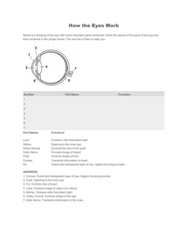# **How the Eyes Work**

Below is a drawing of the eye with some important parts numbered. Write the names of the parts of the eye and their functions in the proper boxes. The clue list is there to help you.



| Number                  | Part Name                        | <b>Function</b> |  |
|-------------------------|----------------------------------|-----------------|--|
| <b>CONTRACTOR</b><br>d. |                                  |                 |  |
| $\overline{\omega}$     |                                  |                 |  |
| $\bar{a}$               |                                  |                 |  |
| $\frac{4}{3}$           |                                  |                 |  |
| $\mathbb S$             |                                  |                 |  |
| 6                       |                                  |                 |  |
| $\mathcal{F}$           |                                  |                 |  |
| Part Names              | Functions:                       |                 |  |
| Lens                    | Contains cells that detect light |                 |  |
| Retina                  | Opening to the inner eye         |                 |  |
| Callary Muscle-         | Controls the size of the regul   |                 |  |

| <b>ALCOHOL: Y POTATOLIC</b> | PODURIOUS RISE SEES OF BALL DEEPL                           |
|-----------------------------|-------------------------------------------------------------|
| Optic Nerve                 | Focuses image of object                                     |
| Pupil                       | Controls shape of lens                                      |
| Cornea                      | Transmits information to brain                              |
|                             | Outermost transparent layer of eye, begins focusing process |

#### ANSWERS:

- 1. Comea. Outermost transparent layer of eye. Begins focusing process.
- 2. Pupil. Opening to the inner eye.
- 3. Iris. Controls size of pupil.
- 4. Lens. Focuses image of object (on retina).
- 5. Retina. Contains cells that detect light.
- 6. Ciliary muscle. Controls shape of the eye.
- 7. Optic Nerve. Transmits information to the brain.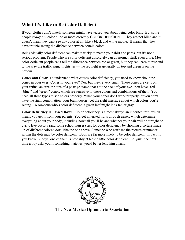# **What It's Like to Be Color Deficient.**

If your clothes don't match, someone might have teased you about being color blind. But some people *really are* color blind or more correctly COLOR DEFICIENT. They are not blind and it doesn't mean they can't see any color at all, like a black and white movie. It means that they have trouble seeing the difference between certain colors.

Being visually color deficient can make it tricky to match your shirt and pants, but it's not a serious problem. People who are color deficient absolutely can do normal stuff, even drive. Most color-deficient people can't tell the difference between red or green, but they can learn to respond to the way the traffic signal lights up — the red light is generally on top and green is on the bottom.

**Cones and Color** To understand what causes color deficiency, you need to know about the cones in your eyes. Cones in your eyes? Yes, but they're very small. These cones are cells on your retina, an area the size of a postage stamp that's at the back of your eye. You have "red," "blue," and "green" cones, which are sensitive to those colors and combinations of them. You need all three types to see colors properly. When your cones don't work properly, or you don't have the right combination, your brain doesn't get the right message about which colors you're seeing. To someone who's color deficient, a green leaf might look tan or gray.

**Color Deficiency Is Passed Down** Color deficiency is almost always an inherited trait, which means you get it from your parents. You get inherited traits through genes, which determine everything about your body, including how tall you'll be and whether your hair will be straight or curly. Eye doctors (and some school nurses) test for color deficiency by showing a picture made up of different colored dots, like the one above. Someone who can't see the picture or number within the dots may be color deficient. Boys are far more likely to be color deficient. In fact, if you know 12 boys, one of them is probably at least a little color deficient. So, girls, the next time a boy asks you if something matches, you'd better lend him a hand!



**The New Mexico Optometric Association**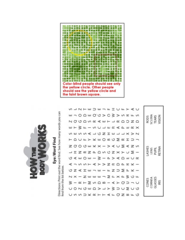

|              |  |  |  |  |  |  | <b>SURFEDENTULTAL</b>         |                                           |
|--------------|--|--|--|--|--|--|-------------------------------|-------------------------------------------|
|              |  |  |  |  |  |  | <b>ENDOWOUPDS&gt;SER</b>      |                                           |
|              |  |  |  |  |  |  | NOUQUESWHUEDOZQ               | RODS<br>SCLERA<br>TEARS<br>VISION         |
|              |  |  |  |  |  |  | ETWARK ARK WHAT               |                                           |
|              |  |  |  |  |  |  | SURALL SULDONN                |                                           |
|              |  |  |  |  |  |  | <b>TOULYXHOWU SEIDA</b>       |                                           |
|              |  |  |  |  |  |  |                               |                                           |
|              |  |  |  |  |  |  | $-I Z X Z A Q W Z X Y U Z -$  | ASHES<br>ETINA<br>LENS                    |
|              |  |  |  |  |  |  | <b>GAHOH-3-4&gt;40HUK</b>     |                                           |
|              |  |  |  |  |  |  | <b>AINNTAY&gt;ZEQQXY-</b>     |                                           |
| list below   |  |  |  |  |  |  | UZKIWAW-LZDZAX-               |                                           |
|              |  |  |  |  |  |  | N X - Z W W W - S C X Q S U L |                                           |
|              |  |  |  |  |  |  |                               | <b>CORNEA</b><br>GLASSES<br>IRIS<br>CONES |
| Ind from the |  |  |  |  |  |  | UONUWQ>4>}DUZUU               |                                           |
|              |  |  |  |  |  |  | U W W D X K H H K L O Z B L U |                                           |

Eye: Word Find

Directions: Print out the word find. See how many words you can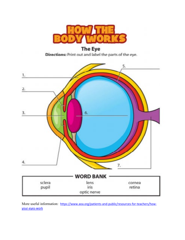

**The Eye** Directions: Print out and label the parts of the eye.



More useful information: [https://www.aoa.org/patients-and-public/resources-for-teachers/how](https://www.aoa.org/patients-and-public/resources-for-teachers/how-your-eyes-work)[your-eyes-work](https://www.aoa.org/patients-and-public/resources-for-teachers/how-your-eyes-work)